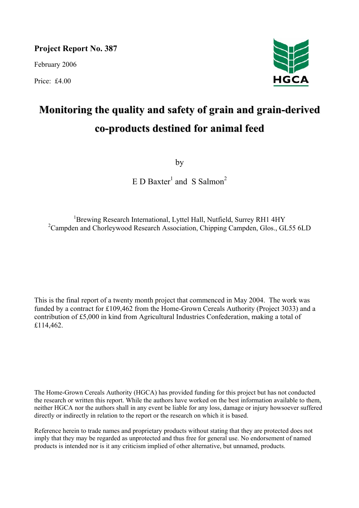**Project Report No. 387** 

February 2006

Price: £4.00



# **Monitoring the quality and safety of grain and grain-derived co-products destined for animal feed**

by

 $E$  D Baxter<sup>1</sup> and S Salmon<sup>2</sup>

<sup>1</sup>Brewing Research International, Lyttel Hall, Nutfield, Surrey RH1 4HY <sup>2</sup>Campden and Chorleywood Research Association, Chipping Campden, Glos., GL55 6LD

This is the final report of a twenty month project that commenced in May 2004. The work was funded by a contract for £109,462 from the Home-Grown Cereals Authority (Project 3033) and a contribution of £5,000 in kind from Agricultural Industries Confederation, making a total of £114,462.

The Home-Grown Cereals Authority (HGCA) has provided funding for this project but has not conducted the research or written this report. While the authors have worked on the best information available to them, neither HGCA nor the authors shall in any event be liable for any loss, damage or injury howsoever suffered directly or indirectly in relation to the report or the research on which it is based.

Reference herein to trade names and proprietary products without stating that they are protected does not imply that they may be regarded as unprotected and thus free for general use. No endorsement of named products is intended nor is it any criticism implied of other alternative, but unnamed, products.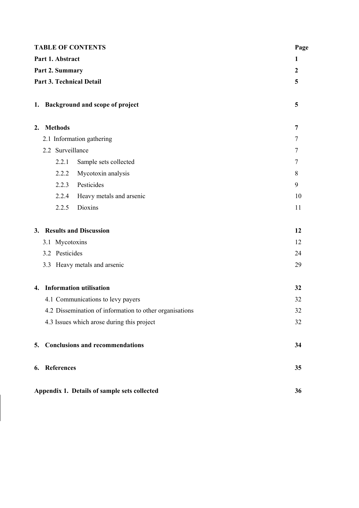| <b>TABLE OF CONTENTS</b> |                                                         |        |  |  |  |  |
|--------------------------|---------------------------------------------------------|--------|--|--|--|--|
|                          | Part 1. Abstract                                        | 1      |  |  |  |  |
|                          | Part 2. Summary                                         |        |  |  |  |  |
|                          | <b>Part 3. Technical Detail</b>                         | 5      |  |  |  |  |
|                          |                                                         |        |  |  |  |  |
|                          | 1. Background and scope of project                      | 5      |  |  |  |  |
|                          | 2. Methods                                              | 7      |  |  |  |  |
|                          | 2.1 Information gathering                               | $\tau$ |  |  |  |  |
|                          | 2.2 Surveillance                                        | $\tau$ |  |  |  |  |
|                          | Sample sets collected<br>2.2.1                          | $\tau$ |  |  |  |  |
|                          | 2.2.2<br>Mycotoxin analysis                             | 8      |  |  |  |  |
|                          | Pesticides<br>2.2.3                                     | 9      |  |  |  |  |
|                          | 2.2.4<br>Heavy metals and arsenic                       | 10     |  |  |  |  |
|                          | 2.2.5<br>Dioxins                                        | 11     |  |  |  |  |
|                          | 3. Results and Discussion                               | 12     |  |  |  |  |
|                          | 3.1 Mycotoxins                                          | 12     |  |  |  |  |
|                          | 3.2 Pesticides                                          | 24     |  |  |  |  |
|                          | 3.3 Heavy metals and arsenic                            | 29     |  |  |  |  |
| 4.                       | <b>Information utilisation</b>                          | 32     |  |  |  |  |
|                          | 4.1 Communications to levy payers                       | 32     |  |  |  |  |
|                          | 4.2 Dissemination of information to other organisations | 32     |  |  |  |  |
|                          | 4.3 Issues which arose during this project              | 32     |  |  |  |  |
| 5.                       | <b>Conclusions and recommendations</b>                  | 34     |  |  |  |  |
| 6.                       | <b>References</b>                                       | 35     |  |  |  |  |
|                          | Appendix 1. Details of sample sets collected<br>36      |        |  |  |  |  |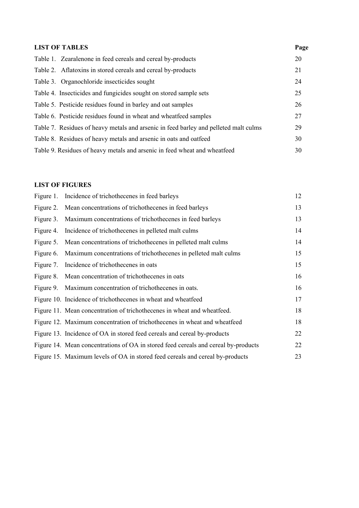| Page                                                                                                                                                                                                                                                                                                                                                                                                                                                                                                                                                                                                                         |
|------------------------------------------------------------------------------------------------------------------------------------------------------------------------------------------------------------------------------------------------------------------------------------------------------------------------------------------------------------------------------------------------------------------------------------------------------------------------------------------------------------------------------------------------------------------------------------------------------------------------------|
| 20                                                                                                                                                                                                                                                                                                                                                                                                                                                                                                                                                                                                                           |
| 21                                                                                                                                                                                                                                                                                                                                                                                                                                                                                                                                                                                                                           |
| 24                                                                                                                                                                                                                                                                                                                                                                                                                                                                                                                                                                                                                           |
| 25                                                                                                                                                                                                                                                                                                                                                                                                                                                                                                                                                                                                                           |
| 26                                                                                                                                                                                                                                                                                                                                                                                                                                                                                                                                                                                                                           |
| 27                                                                                                                                                                                                                                                                                                                                                                                                                                                                                                                                                                                                                           |
| 29                                                                                                                                                                                                                                                                                                                                                                                                                                                                                                                                                                                                                           |
| 30                                                                                                                                                                                                                                                                                                                                                                                                                                                                                                                                                                                                                           |
| 30                                                                                                                                                                                                                                                                                                                                                                                                                                                                                                                                                                                                                           |
| Table 1. Zearalenone in feed cereals and cereal by-products<br>Table 2. Aflatoxins in stored cereals and cereal by-products<br>Table 3. Organochloride insecticides sought<br>Table 4. Insecticides and fungicides sought on stored sample sets<br>Table 5. Pesticide residues found in barley and oat samples<br>Table 6. Pesticide residues found in wheat and wheatfeed samples<br>Table 7. Residues of heavy metals and arsenic in feed barley and pelleted malt culms<br>Table 8. Residues of heavy metals and arsenic in oats and oatfeed<br>Table 9. Residues of heavy metals and arsenic in feed wheat and wheatfeed |

# **LIST OF FIGURES**

| Figure 1. | Incidence of trichothecenes in feed barleys                                        | 12 |
|-----------|------------------------------------------------------------------------------------|----|
| Figure 2. | Mean concentrations of trichothecenes in feed barleys                              | 13 |
| Figure 3. | Maximum concentrations of trichothecenes in feed barleys                           | 13 |
| Figure 4. | Incidence of trichothecenes in pelleted malt culms                                 | 14 |
| Figure 5. | Mean concentrations of trichothecenes in pelleted malt culms                       | 14 |
| Figure 6. | Maximum concentrations of trichothecenes in pelleted malt culms                    | 15 |
| Figure 7. | Incidence of trichothecenes in oats                                                | 15 |
| Figure 8. | Mean concentration of trichothecenes in oats                                       | 16 |
| Figure 9. | Maximum concentration of trichothecenes in oats.                                   | 16 |
|           | Figure 10. Incidence of trichothecenes in wheat and wheatfeed                      | 17 |
|           | Figure 11. Mean concentration of trichothecenes in wheat and wheatfeed.            | 18 |
|           | Figure 12. Maximum concentration of trichothecenes in wheat and wheatfeed          | 18 |
|           | Figure 13. Incidence of OA in stored feed cereals and cereal by-products           | 22 |
|           | Figure 14. Mean concentrations of OA in stored feed cereals and cereal by-products | 22 |
|           | Figure 15. Maximum levels of OA in stored feed cereals and cereal by-products      | 23 |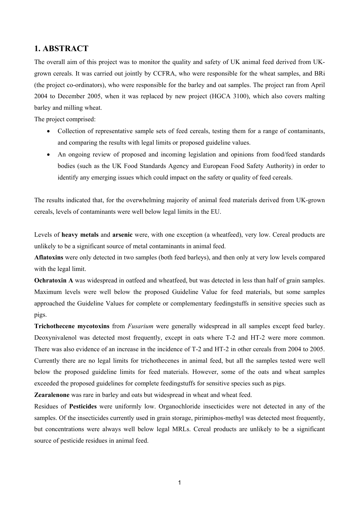# **1. ABSTRACT**

The overall aim of this project was to monitor the quality and safety of UK animal feed derived from UKgrown cereals. It was carried out jointly by CCFRA, who were responsible for the wheat samples, and BRi (the project co-ordinators), who were responsible for the barley and oat samples. The project ran from April 2004 to December 2005, when it was replaced by new project (HGCA 3100), which also covers malting barley and milling wheat.

The project comprised:

- Collection of representative sample sets of feed cereals, testing them for a range of contaminants, and comparing the results with legal limits or proposed guideline values.
- An ongoing review of proposed and incoming legislation and opinions from food/feed standards bodies (such as the UK Food Standards Agency and European Food Safety Authority) in order to identify any emerging issues which could impact on the safety or quality of feed cereals.

The results indicated that, for the overwhelming majority of animal feed materials derived from UK-grown cereals, levels of contaminants were well below legal limits in the EU.

Levels of **heavy metals** and **arsenic** were, with one exception (a wheatfeed), very low. Cereal products are unlikely to be a significant source of metal contaminants in animal feed.

**Aflatoxins** were only detected in two samples (both feed barleys), and then only at very low levels compared with the legal limit.

**Ochratoxin A** was widespread in oatfeed and wheatfeed, but was detected in less than half of grain samples. Maximum levels were well below the proposed Guideline Value for feed materials, but some samples approached the Guideline Values for complete or complementary feedingstuffs in sensitive species such as pigs.

**Trichothecene mycotoxins** from *Fusarium* were generally widespread in all samples except feed barley. Deoxynivalenol was detected most frequently, except in oats where T-2 and HT-2 were more common. There was also evidence of an increase in the incidence of T-2 and HT-2 in other cereals from 2004 to 2005. Currently there are no legal limits for trichothecenes in animal feed, but all the samples tested were well below the proposed guideline limits for feed materials. However, some of the oats and wheat samples exceeded the proposed guidelines for complete feedingstuffs for sensitive species such as pigs.

**Zearalenone** was rare in barley and oats but widespread in wheat and wheat feed.

Residues of **Pesticides** were uniformly low. Organochloride insecticides were not detected in any of the samples. Of the insecticides currently used in grain storage, pirimiphos-methyl was detected most frequently, but concentrations were always well below legal MRLs. Cereal products are unlikely to be a significant source of pesticide residues in animal feed.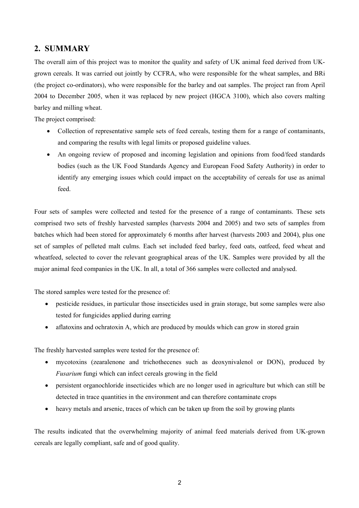# **2. SUMMARY**

The overall aim of this project was to monitor the quality and safety of UK animal feed derived from UKgrown cereals. It was carried out jointly by CCFRA, who were responsible for the wheat samples, and BRi (the project co-ordinators), who were responsible for the barley and oat samples. The project ran from April 2004 to December 2005, when it was replaced by new project (HGCA 3100), which also covers malting barley and milling wheat.

The project comprised:

- Collection of representative sample sets of feed cereals, testing them for a range of contaminants, and comparing the results with legal limits or proposed guideline values.
- An ongoing review of proposed and incoming legislation and opinions from food/feed standards bodies (such as the UK Food Standards Agency and European Food Safety Authority) in order to identify any emerging issues which could impact on the acceptability of cereals for use as animal feed.

Four sets of samples were collected and tested for the presence of a range of contaminants. These sets comprised two sets of freshly harvested samples (harvests 2004 and 2005) and two sets of samples from batches which had been stored for approximately 6 months after harvest (harvests 2003 and 2004), plus one set of samples of pelleted malt culms. Each set included feed barley, feed oats, oatfeed, feed wheat and wheatfeed, selected to cover the relevant geographical areas of the UK. Samples were provided by all the major animal feed companies in the UK. In all, a total of 366 samples were collected and analysed.

The stored samples were tested for the presence of:

- pesticide residues, in particular those insecticides used in grain storage, but some samples were also tested for fungicides applied during earring
- aflatoxins and ochratoxin A, which are produced by moulds which can grow in stored grain

The freshly harvested samples were tested for the presence of:

- mycotoxins (zearalenone and trichothecenes such as deoxynivalenol or DON), produced by *Fusarium* fungi which can infect cereals growing in the field
- persistent organochloride insecticides which are no longer used in agriculture but which can still be detected in trace quantities in the environment and can therefore contaminate crops
- heavy metals and arsenic, traces of which can be taken up from the soil by growing plants

The results indicated that the overwhelming majority of animal feed materials derived from UK-grown cereals are legally compliant, safe and of good quality.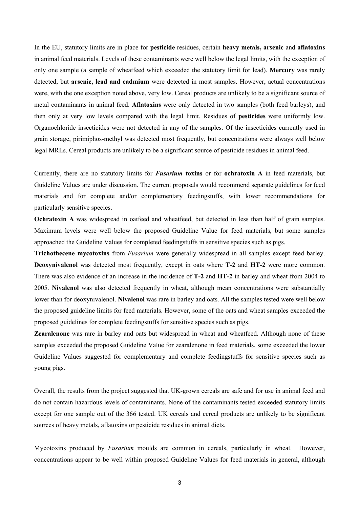In the EU, statutory limits are in place for **pesticide** residues, certain **heavy metals, arsenic** and **aflatoxins** in animal feed materials. Levels of these contaminants were well below the legal limits, with the exception of only one sample (a sample of wheatfeed which exceeded the statutory limit for lead). **Mercury** was rarely detected, but **arsenic, lead and cadmium** were detected in most samples. However, actual concentrations were, with the one exception noted above, very low. Cereal products are unlikely to be a significant source of metal contaminants in animal feed. **Aflatoxins** were only detected in two samples (both feed barleys), and then only at very low levels compared with the legal limit. Residues of **pesticides** were uniformly low. Organochloride insecticides were not detected in any of the samples. Of the insecticides currently used in grain storage, pirimiphos-methyl was detected most frequently, but concentrations were always well below legal MRLs. Cereal products are unlikely to be a significant source of pesticide residues in animal feed.

Currently, there are no statutory limits for *Fusarium* **toxins** or for **ochratoxin A** in feed materials, but Guideline Values are under discussion. The current proposals would recommend separate guidelines for feed materials and for complete and/or complementary feedingstuffs, with lower recommendations for particularly sensitive species.

**Ochratoxin A** was widespread in oatfeed and wheatfeed, but detected in less than half of grain samples. Maximum levels were well below the proposed Guideline Value for feed materials, but some samples approached the Guideline Values for completed feedingstuffs in sensitive species such as pigs.

**Trichothecene mycotoxins** from *Fusarium* were generally widespread in all samples except feed barley. **Deoxynivalenol** was detected most frequently, except in oats where **T-2** and **HT-2** were more common. There was also evidence of an increase in the incidence of **T-2** and **HT-2** in barley and wheat from 2004 to 2005. **Nivalenol** was also detected frequently in wheat, although mean concentrations were substantially lower than for deoxynivalenol. **Nivalenol** was rare in barley and oats. All the samples tested were well below the proposed guideline limits for feed materials. However, some of the oats and wheat samples exceeded the proposed guidelines for complete feedingstuffs for sensitive species such as pigs.

**Zearalenone** was rare in barley and oats but widespread in wheat and wheatfeed. Although none of these samples exceeded the proposed Guideline Value for zearalenone in feed materials, some exceeded the lower Guideline Values suggested for complementary and complete feedingstuffs for sensitive species such as young pigs.

Overall, the results from the project suggested that UK-grown cereals are safe and for use in animal feed and do not contain hazardous levels of contaminants. None of the contaminants tested exceeded statutory limits except for one sample out of the 366 tested. UK cereals and cereal products are unlikely to be significant sources of heavy metals, aflatoxins or pesticide residues in animal diets.

Mycotoxins produced by *Fusarium* moulds are common in cereals, particularly in wheat. However, concentrations appear to be well within proposed Guideline Values for feed materials in general, although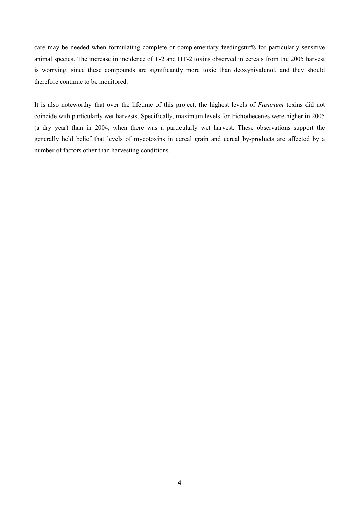care may be needed when formulating complete or complementary feedingstuffs for particularly sensitive animal species. The increase in incidence of T-2 and HT-2 toxins observed in cereals from the 2005 harvest is worrying, since these compounds are significantly more toxic than deoxynivalenol, and they should therefore continue to be monitored.

It is also noteworthy that over the lifetime of this project, the highest levels of *Fusarium* toxins did not coincide with particularly wet harvests. Specifically, maximum levels for trichothecenes were higher in 2005 (a dry year) than in 2004, when there was a particularly wet harvest. These observations support the generally held belief that levels of mycotoxins in cereal grain and cereal by-products are affected by a number of factors other than harvesting conditions.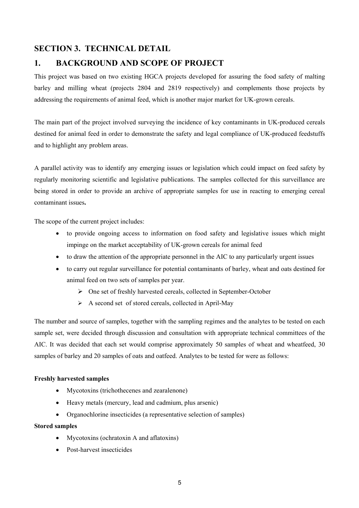# **SECTION 3. TECHNICAL DETAIL**

# **1. BACKGROUND AND SCOPE OF PROJECT**

This project was based on two existing HGCA projects developed for assuring the food safety of malting barley and milling wheat (projects 2804 and 2819 respectively) and complements those projects by addressing the requirements of animal feed, which is another major market for UK-grown cereals.

The main part of the project involved surveying the incidence of key contaminants in UK-produced cereals destined for animal feed in order to demonstrate the safety and legal compliance of UK-produced feedstuffs and to highlight any problem areas.

A parallel activity was to identify any emerging issues or legislation which could impact on feed safety by regularly monitoring scientific and legislative publications. The samples collected for this surveillance are being stored in order to provide an archive of appropriate samples for use in reacting to emerging cereal contaminant issues**.** 

The scope of the current project includes:

- to provide ongoing access to information on food safety and legislative issues which might impinge on the market acceptability of UK-grown cereals for animal feed
- to draw the attention of the appropriate personnel in the AIC to any particularly urgent issues
- to carry out regular surveillance for potential contaminants of barley, wheat and oats destined for animal feed on two sets of samples per year.
	- ¾ One set of freshly harvested cereals, collected in September-October
	- $\triangleright$  A second set of stored cereals, collected in April-May

The number and source of samples, together with the sampling regimes and the analytes to be tested on each sample set, were decided through discussion and consultation with appropriate technical committees of the AIC. It was decided that each set would comprise approximately 50 samples of wheat and wheatfeed, 30 samples of barley and 20 samples of oats and oatfeed. Analytes to be tested for were as follows:

# **Freshly harvested samples**

- Mycotoxins (trichothecenes and zearalenone)
- Heavy metals (mercury, lead and cadmium, plus arsenic)
- Organochlorine insecticides (a representative selection of samples)

# **Stored samples**

- Mycotoxins (ochratoxin A and aflatoxins)
- Post-harvest insecticides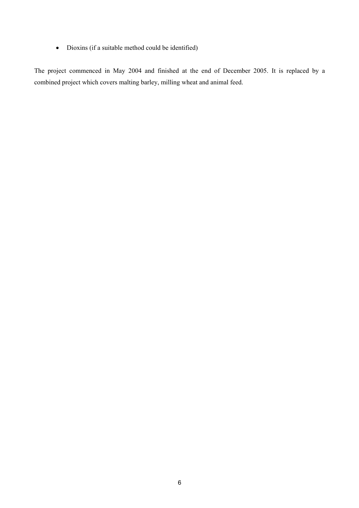• Dioxins (if a suitable method could be identified)

The project commenced in May 2004 and finished at the end of December 2005. It is replaced by a combined project which covers malting barley, milling wheat and animal feed.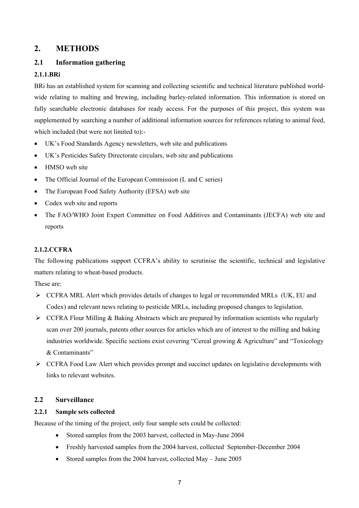# **2. METHODS**

# **2.1 Information gathering**

# **2.1.1.BRi**

BRi has an established system for scanning and collecting scientific and technical literature published worldwide relating to malting and brewing, including barley-related information. This information is stored on fully searchable electronic databases for ready access. For the purposes of this project, this system was supplemented by searching a number of additional information sources for references relating to animal feed, which included (but were not limited to):-

- UK's Food Standards Agency newsletters, web site and publications
- UK's Pesticides Safety Directorate circulars, web site and publications
- HMSO web site
- The Official Journal of the European Commission (L and C series)
- The European Food Safety Authority (EFSA) web site
- Codex web site and reports
- The FAO/WHO Joint Expert Committee on Food Additives and Contaminants (JECFA) web site and reports

# **2.1.2.CCFRA**

The following publications support CCFRA's ability to scrutinise the scientific, technical and legislative matters relating to wheat-based products.

These are:

- $\triangleright$  CCFRA MRL Alert which provides details of changes to legal or recommended MRLs (UK, EU and Codex) and relevant news relating to pesticide MRLs, including proposed changes to legislation.
- $\triangleright$  CCFRA Flour Milling & Baking Abstracts which are prepared by information scientists who regularly scan over 200 journals, patents other sources for articles which are of interest to the milling and baking industries worldwide. Specific sections exist covering "Cereal growing & Agriculture" and "Toxicology & Contaminants"
- $\triangleright$  CCFRA Food Law Alert which provides prompt and succinct updates on legislative developments with links to relevant websites.

# **2.2 Surveillance**

# **2.2.1 Sample sets collected**

Because of the timing of the project, only four sample sets could be collected:

- Stored samples from the 2003 harvest, collected in May-June 2004
- Freshly harvested samples from the 2004 harvest, collected September-December 2004
- Stored samples from the 2004 harvest, collected May June 2005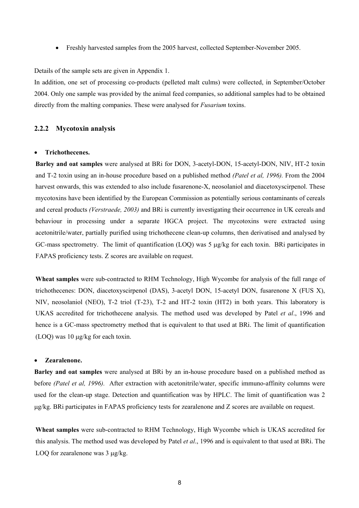• Freshly harvested samples from the 2005 harvest, collected September-November 2005.

Details of the sample sets are given in Appendix 1.

In addition, one set of processing co-products (pelleted malt culms) were collected, in September/October 2004. Only one sample was provided by the animal feed companies, so additional samples had to be obtained directly from the malting companies. These were analysed for *Fusarium* toxins.

## **2.2.2 Mycotoxin analysis**

#### • **Trichothecenes.**

**Barley and oat samples** were analysed at BRi for DON, 3-acetyl-DON, 15-acetyl-DON, NIV, HT-2 toxin and T-2 toxin using an in-house procedure based on a published method *(Patel et al, 1996).* From the 2004 harvest onwards, this was extended to also include fusarenone-X, neosolaniol and diacetoxyscirpenol. These mycotoxins have been identified by the European Commission as potentially serious contaminants of cereals and cereal products *(Verstraede, 2003)* and BRi is currently investigating their occurrence in UK cereals and behaviour in processing under a separate HGCA project. The mycotoxins were extracted using acetonitrile/water, partially purified using trichothecene clean-up columns, then derivatised and analysed by GC-mass spectrometry. The limit of quantification (LOQ) was 5 µg/kg for each toxin. BRi participates in FAPAS proficiency tests. Z scores are available on request.

**Wheat samples** were sub-contracted to RHM Technology, High Wycombe for analysis of the full range of trichothecenes: DON, diacetoxyscirpenol (DAS), 3-acetyl DON, 15-acetyl DON, fusarenone X (FUS X), NIV, neosolaniol (NEO), T-2 triol (T-23), T-2 and HT-2 toxin (HT2) in both years. This laboratory is UKAS accredited for trichothecene analysis. The method used was developed by Patel *et al*., 1996 and hence is a GC-mass spectrometry method that is equivalent to that used at BRi. The limit of quantification (LOQ) was 10 µg/kg for each toxin.

#### • **Zearalenone.**

**Barley and oat samples** were analysed at BRi by an in-house procedure based on a published method as before *(Patel et al, 1996).* After extraction with acetonitrile/water, specific immuno-affinity columns were used for the clean-up stage. Detection and quantification was by HPLC. The limit of quantification was 2 µg/kg. BRi participates in FAPAS proficiency tests for zearalenone and Z scores are available on request.

**Wheat samples** were sub-contracted to RHM Technology, High Wycombe which is UKAS accredited for this analysis. The method used was developed by Patel *et al*., 1996 and is equivalent to that used at BRi. The LOO for zearalenone was 3  $\mu$ g/kg.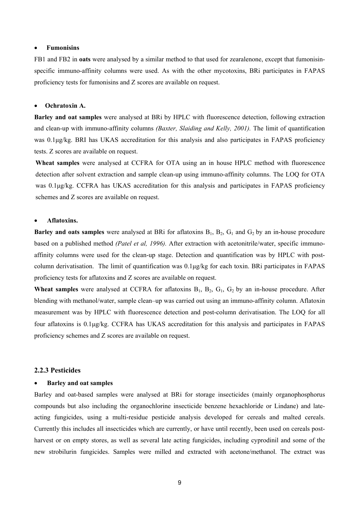#### • **Fumonisins**

FB1 and FB2 in **oats** were analysed by a similar method to that used for zearalenone, except that fumonisinspecific immuno-affinity columns were used. As with the other mycotoxins, BRi participates in FAPAS proficiency tests for fumonisins and Z scores are available on request.

#### • **Ochratoxin A.**

**Barley and oat samples** were analysed at BRi by HPLC with fluorescence detection, following extraction and clean-up with immuno-affinity columns *(Baxter, Slaiding and Kelly, 2001).* The limit of quantification was 0.1µg/kg. BRI has UKAS accreditation for this analysis and also participates in FAPAS proficiency tests. Z scores are available on request.

**Wheat samples** were analysed at CCFRA for OTA using an in house HPLC method with fluorescence detection after solvent extraction and sample clean-up using immuno-affinity columns. The LOQ for OTA was 0.1µg/kg. CCFRA has UKAS accreditation for this analysis and participates in FAPAS proficiency schemes and Z scores are available on request.

#### • **Aflatoxins.**

**Barley and oats samples** were analysed at BRi for aflatoxins  $B_1$ ,  $B_2$ ,  $G_1$  and  $G_2$  by an in-house procedure based on a published method *(Patel et al, 1996).* After extraction with acetonitrile/water, specific immunoaffinity columns were used for the clean-up stage. Detection and quantification was by HPLC with postcolumn derivatisation. The limit of quantification was 0.1µg/kg for each toxin. BRi participates in FAPAS proficiency tests for aflatoxins and Z scores are available on request.

**Wheat samples** were analysed at CCFRA for aflatoxins  $B_1$ ,  $B_2$ ,  $G_1$ ,  $G_2$  by an in-house procedure. After blending with methanol/water, sample clean–up was carried out using an immuno-affinity column. Aflatoxin measurement was by HPLC with fluorescence detection and post-column derivatisation. The LOQ for all four aflatoxins is 0.1µg/kg. CCFRA has UKAS accreditation for this analysis and participates in FAPAS proficiency schemes and Z scores are available on request.

#### **2.2.3 Pesticides**

#### • **Barley and oat samples**

Barley and oat-based samples were analysed at BRi for storage insecticides (mainly organophosphorus compounds but also including the organochlorine insecticide benzene hexachloride or Lindane) and lateacting fungicides, using a multi-residue pesticide analysis developed for cereals and malted cereals. Currently this includes all insecticides which are currently, or have until recently, been used on cereals postharvest or on empty stores, as well as several late acting fungicides, including cyprodinil and some of the new strobilurin fungicides. Samples were milled and extracted with acetone/methanol. The extract was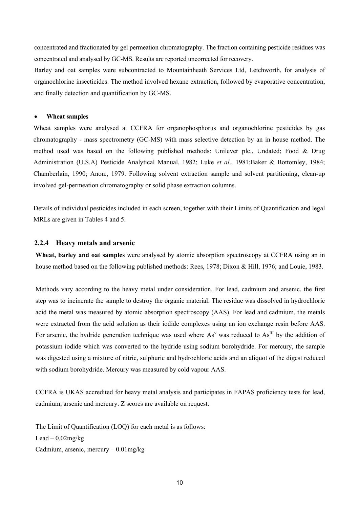concentrated and fractionated by gel permeation chromatography. The fraction containing pesticide residues was concentrated and analysed by GC-MS. Results are reported uncorrected for recovery.

Barley and oat samples were subcontracted to Mountainheath Services Ltd, Letchworth, for analysis of organochlorine insecticides. The method involved hexane extraction, followed by evaporative concentration, and finally detection and quantification by GC-MS.

#### • **Wheat samples**

Wheat samples were analysed at CCFRA for organophosphorus and organochlorine pesticides by gas chromatography - mass spectrometry (GC-MS) with mass selective detection by an in house method. The method used was based on the following published methods: Unilever plc., Undated; Food & Drug Administration (U.S.A) Pesticide Analytical Manual, 1982; Luke *et al*., 1981;Baker & Bottomley, 1984; Chamberlain, 1990; Anon., 1979. Following solvent extraction sample and solvent partitioning, clean-up involved gel-permeation chromatography or solid phase extraction columns.

Details of individual pesticides included in each screen, together with their Limits of Quantification and legal MRLs are given in Tables 4 and 5.

#### **2.2.4 Heavy metals and arsenic**

**Wheat, barley and oat samples** were analysed by atomic absorption spectroscopy at CCFRA using an in house method based on the following published methods: Rees, 1978; Dixon & Hill, 1976; and Louie, 1983.

Methods vary according to the heavy metal under consideration. For lead, cadmium and arsenic, the first step was to incinerate the sample to destroy the organic material. The residue was dissolved in hydrochloric acid the metal was measured by atomic absorption spectroscopy (AAS). For lead and cadmium, the metals were extracted from the acid solution as their iodide complexes using an ion exchange resin before AAS. For arsenic, the hydride generation technique was used where  $\text{As}^{\vee}$  was reduced to  $\text{As}^{\text{III}}$  by the addition of potassium iodide which was converted to the hydride using sodium borohydride. For mercury, the sample was digested using a mixture of nitric, sulphuric and hydrochloric acids and an aliquot of the digest reduced with sodium borohydride. Mercury was measured by cold vapour AAS.

CCFRA is UKAS accredited for heavy metal analysis and participates in FAPAS proficiency tests for lead, cadmium, arsenic and mercury. Z scores are available on request.

The Limit of Quantification (LOQ) for each metal is as follows:  $Lead - 0.02$ mg/kg Cadmium, arsenic, mercury – 0.01mg/kg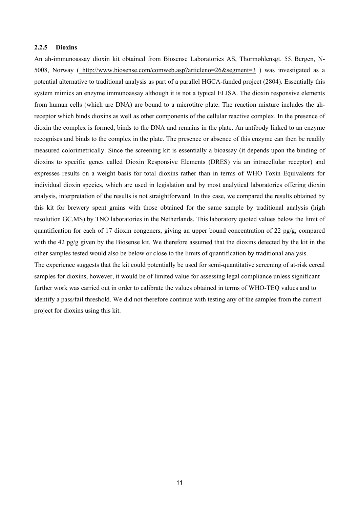#### **2.2.5 Dioxins**

An ah-immunoassay dioxin kit obtained from Biosense Laboratories AS, Thormøhlensgt. 55, Bergen, N-5008, Norway ( http://www.biosense.com/comweb.asp?articleno=26&segment=3 ) was investigated as a potential alternative to traditional analysis as part of a parallel HGCA-funded project (2804). Essentially this system mimics an enzyme immunoassay although it is not a typical ELISA. The dioxin responsive elements from human cells (which are DNA) are bound to a microtitre plate. The reaction mixture includes the ahreceptor which binds dioxins as well as other components of the cellular reactive complex. In the presence of dioxin the complex is formed, binds to the DNA and remains in the plate. An antibody linked to an enzyme recognises and binds to the complex in the plate. The presence or absence of this enzyme can then be readily measured colorimetrically. Since the screening kit is essentially a bioassay (it depends upon the binding of dioxins to specific genes called Dioxin Responsive Elements (DRES) via an intracellular receptor) and expresses results on a weight basis for total dioxins rather than in terms of WHO Toxin Equivalents for individual dioxin species, which are used in legislation and by most analytical laboratories offering dioxin analysis, interpretation of the results is not straightforward. In this case, we compared the results obtained by this kit for brewery spent grains with those obtained for the same sample by traditional analysis (high resolution GC.MS) by TNO laboratories in the Netherlands. This laboratory quoted values below the limit of quantification for each of 17 dioxin congeners, giving an upper bound concentration of 22 pg/g, compared with the 42 pg/g given by the Biosense kit. We therefore assumed that the dioxins detected by the kit in the other samples tested would also be below or close to the limits of quantification by traditional analysis. The experience suggests that the kit could potentially be used for semi-quantitative screening of at-risk cereal samples for dioxins, however, it would be of limited value for assessing legal compliance unless significant further work was carried out in order to calibrate the values obtained in terms of WHO-TEQ values and to identify a pass/fail threshold. We did not therefore continue with testing any of the samples from the current project for dioxins using this kit.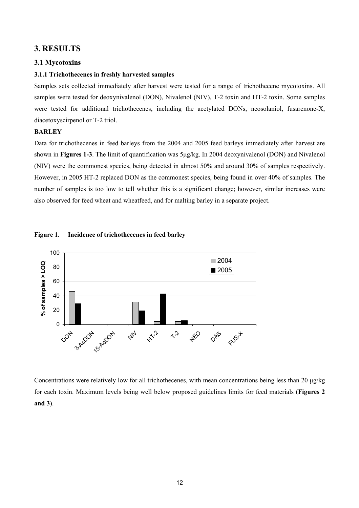# **3. RESULTS**

# **3.1 Mycotoxins**

## **3.1.1 Trichothecenes in freshly harvested samples**

Samples sets collected immediately after harvest were tested for a range of trichothecene mycotoxins. All samples were tested for deoxynivalenol (DON), Nivalenol (NIV), T-2 toxin and HT-2 toxin. Some samples were tested for additional trichothecenes, including the acetylated DONs, neosolaniol, fusarenone-X, diacetoxyscirpenol or T-2 triol.

# **BARLEY**

Data for trichothecenes in feed barleys from the 2004 and 2005 feed barleys immediately after harvest are shown in **Figures 1-3**. The limit of quantification was  $5\mu g/kg$ . In 2004 deoxynivalenol (DON) and Nivalenol (NIV) were the commonest species, being detected in almost 50% and around 30% of samples respectively. However, in 2005 HT-2 replaced DON as the commonest species, being found in over 40% of samples. The number of samples is too low to tell whether this is a significant change; however, similar increases were also observed for feed wheat and wheatfeed, and for malting barley in a separate project.





Concentrations were relatively low for all trichothecenes, with mean concentrations being less than 20 µg/kg for each toxin. Maximum levels being well below proposed guidelines limits for feed materials (**Figures 2 and 3**).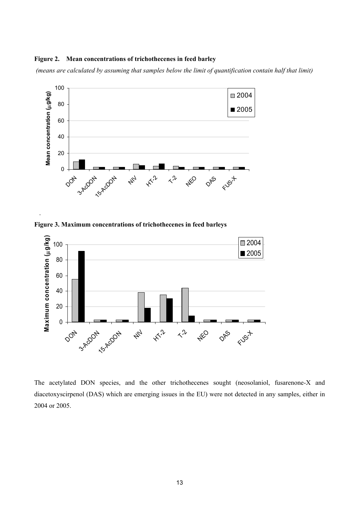# **Figure 2. Mean concentrations of trichothecenes in feed barley**

 *(means are calculated by assuming that samples below the limit of quantification contain half that limit)* 



**Figure 3. Maximum concentrations of trichothecenes in feed barleys** 

.



The acetylated DON species, and the other trichothecenes sought (neosolaniol, fusarenone-X and diacetoxyscirpenol (DAS) which are emerging issues in the EU) were not detected in any samples, either in 2004 or 2005.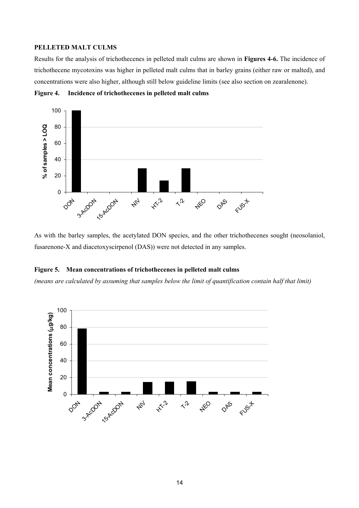#### **PELLETED MALT CULMS**

Results for the analysis of trichothecenes in pelleted malt culms are shown in **Figures 4-6.** The incidence of trichothecene mycotoxins was higher in pelleted malt culms that in barley grains (either raw or malted), and concentrations were also higher, although still below guideline limits (see also section on zearalenone).

**Figure 4. Incidence of trichothecenes in pelleted malt culms** 



As with the barley samples, the acetylated DON species, and the other trichothecenes sought (neosolaniol, fusarenone-X and diacetoxyscirpenol (DAS)) were not detected in any samples.

## **Figure 5. Mean concentrations of trichothecenes in pelleted malt culms**

*(means are calculated by assuming that samples below the limit of quantification contain half that limit)* 

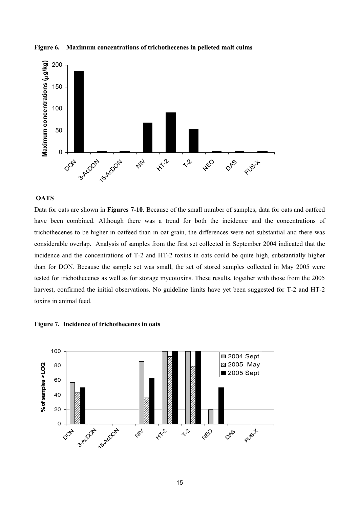



#### **OATS**

Data for oats are shown in **Figures 7-10**. Because of the small number of samples, data for oats and oatfeed have been combined. Although there was a trend for both the incidence and the concentrations of trichothecenes to be higher in oatfeed than in oat grain, the differences were not substantial and there was considerable overlap. Analysis of samples from the first set collected in September 2004 indicated that the incidence and the concentrations of T-2 and HT-2 toxins in oats could be quite high, substantially higher than for DON. Because the sample set was small, the set of stored samples collected in May 2005 were tested for trichothecenes as well as for storage mycotoxins. These results, together with those from the 2005 harvest, confirmed the initial observations. No guideline limits have yet been suggested for T-2 and HT-2 toxins in animal feed.



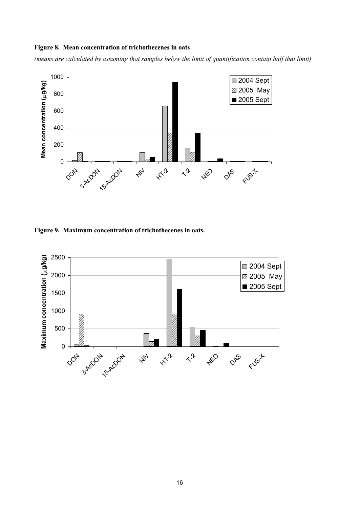#### **Figure 8. Mean concentration of trichothecenes in oats**

*(means are calculated by assuming that samples below the limit of quantification contain half that limit)* 



**Figure 9. Maximum concentration of trichothecenes in oats.** 

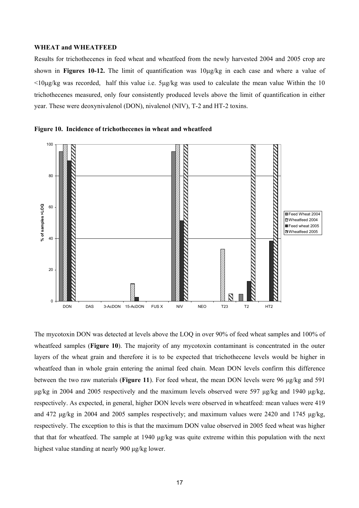#### **WHEAT and WHEATFEED**

Results for trichothecenes in feed wheat and wheatfeed from the newly harvested 2004 and 2005 crop are shown in **Figures 10-12.** The limit of quantification was 10µg/kg in each case and where a value of  $\leq 10\mu$ g/kg was recorded, half this value i.e.  $5\mu$ g/kg was used to calculate the mean value Within the 10 trichothecenes measured, only four consistently produced levels above the limit of quantification in either year. These were deoxynivalenol (DON), nivalenol (NIV), T-2 and HT-2 toxins.

![](_page_19_Figure_2.jpeg)

![](_page_19_Figure_3.jpeg)

The mycotoxin DON was detected at levels above the LOQ in over 90% of feed wheat samples and 100% of wheatfeed samples (**Figure 10**). The majority of any mycotoxin contaminant is concentrated in the outer layers of the wheat grain and therefore it is to be expected that trichothecene levels would be higher in wheatfeed than in whole grain entering the animal feed chain. Mean DON levels confirm this difference between the two raw materials (**Figure 11**). For feed wheat, the mean DON levels were 96 µg/kg and 591 µg/kg in 2004 and 2005 respectively and the maximum levels observed were 597 µg/kg and 1940 µg/kg, respectively. As expected, in general, higher DON levels were observed in wheatfeed: mean values were 419 and 472  $\mu$ g/kg in 2004 and 2005 samples respectively; and maximum values were 2420 and 1745  $\mu$ g/kg, respectively. The exception to this is that the maximum DON value observed in 2005 feed wheat was higher that that for wheatfeed. The sample at 1940 µg/kg was quite extreme within this population with the next highest value standing at nearly 900  $\mu$ g/kg lower.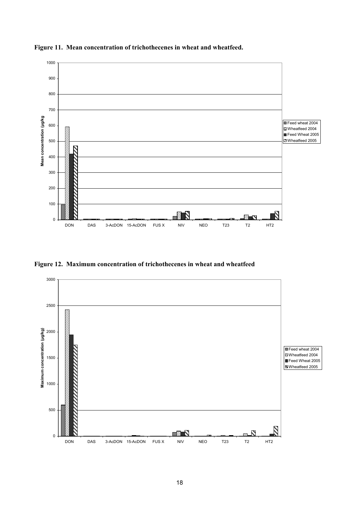![](_page_20_Figure_0.jpeg)

**Figure 11. Mean concentration of trichothecenes in wheat and wheatfeed.** 

**Figure 12. Maximum concentration of trichothecenes in wheat and wheatfeed** 

![](_page_20_Figure_3.jpeg)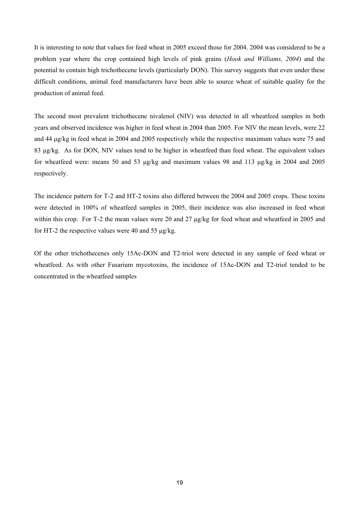It is interesting to note that values for feed wheat in 2005 exceed those for 2004. 2004 was considered to be a problem year where the crop contained high levels of pink grains (*Hook and Williams, 2004*) and the potential to contain high trichothecene levels (particularly DON). This survey suggests that even under these difficult conditions, animal feed manufacturers have been able to source wheat of suitable quality for the production of animal feed.

The second most prevalent trichothecene nivalenol (NIV) was detected in all wheatfeed samples in both years and observed incidence was higher in feed wheat in 2004 than 2005. For NIV the mean levels, were 22 and 44 µg/kg in feed wheat in 2004 and 2005 respectively while the respective maximum values were 75 and 83 µg/kg. As for DON, NIV values tend to be higher in wheatfeed than feed wheat. The equivalent values for wheatfeed were: means 50 and 53 µg/kg and maximum values 98 and 113 µg/kg in 2004 and 2005 respectively.

The incidence pattern for T-2 and HT-2 toxins also differed between the 2004 and 2005 crops. These toxins were detected in 100% of wheatfeed samples in 2005, their incidence was also increased in feed wheat within this crop. For T-2 the mean values were 20 and 27  $\mu$ g/kg for feed wheat and wheatfeed in 2005 and for HT-2 the respective values were 40 and 55  $\mu$ g/kg.

Of the other trichothecenes only 15Ac-DON and T2-triol were detected in any sample of feed wheat or wheatfeed. As with other Fusarium mycotoxins, the incidence of 15Ac-DON and T2-triol tended to be concentrated in the wheatfeed samples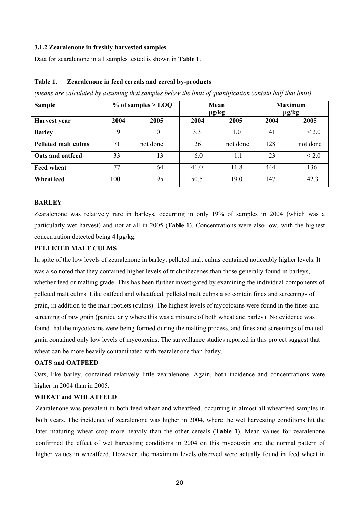#### **3.1.2 Zearalenone in freshly harvested samples**

Data for zearalenone in all samples tested is shown in **Table 1**.

#### **Table 1. Zearalenone in feed cereals and cereal by-products**

*(means are calculated by assuming that samples below the limit of quantification contain half that limit)* 

| <b>Sample</b>              |      | $%$ of samples > LOQ | Mean<br>$\mu$ g/kg |          | <b>Maximum</b><br>$\mu$ g/kg |                 |
|----------------------------|------|----------------------|--------------------|----------|------------------------------|-----------------|
| Harvest year               | 2004 | 2005                 | 2004               | 2005     | 2004                         | 2005            |
| <b>Barley</b>              | 19   | $\theta$             | 3.3                | 1.0      | 41                           | < 2.0           |
| <b>Pelleted malt culms</b> | 71   | not done             | 26                 | not done | 128                          | not done        |
| Oats and oatfeed           | 33   | 13                   | 6.0                | 1.1      | 23                           | ${}_{\leq 2.0}$ |
| <b>Feed wheat</b>          | 77   | 64                   | 41.0               | 11.8     | 444                          | 136             |
| Wheatfeed                  | 100  | 95                   | 50.5               | 19.0     | 147                          | 42.3            |

#### **BARLEY**

Zearalenone was relatively rare in barleys, occurring in only 19% of samples in 2004 (which was a particularly wet harvest) and not at all in 2005 (**Table 1**). Concentrations were also low, with the highest concentration detected being 41µg/kg.

## **PELLETED MALT CULMS**

In spite of the low levels of zearalenone in barley, pelleted malt culms contained noticeably higher levels. It was also noted that they contained higher levels of trichothecenes than those generally found in barleys, whether feed or malting grade. This has been further investigated by examining the individual components of pelleted malt culms. Like oatfeed and wheatfeed, pelleted malt culms also contain fines and screenings of grain, in addition to the malt rootlets (culms). The highest levels of mycotoxins were found in the fines and screening of raw grain (particularly where this was a mixture of both wheat and barley). No evidence was found that the mycotoxins were being formed during the malting process, and fines and screenings of malted grain contained only low levels of mycotoxins. The surveillance studies reported in this project suggest that wheat can be more heavily contaminated with zearalenone than barley.

## **OATS and OATFEED**

Oats, like barley, contained relatively little zearalenone. Again, both incidence and concentrations were higher in 2004 than in 2005.

### **WHEAT and WHEATFEED**

Zearalenone was prevalent in both feed wheat and wheatfeed, occurring in almost all wheatfeed samples in both years. The incidence of zearalenone was higher in 2004, where the wet harvesting conditions hit the later maturing wheat crop more heavily than the other cereals (**Table 1**). Mean values for zearalenone confirmed the effect of wet harvesting conditions in 2004 on this mycotoxin and the normal pattern of higher values in wheatfeed. However, the maximum levels observed were actually found in feed wheat in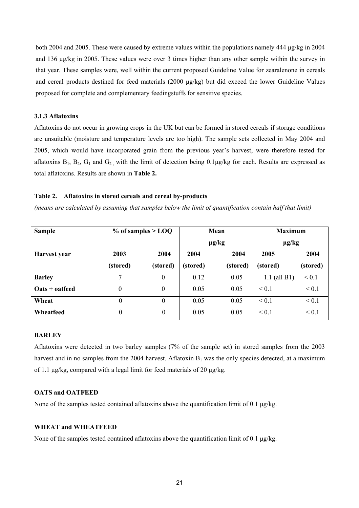both 2004 and 2005. These were caused by extreme values within the populations namely 444 µg/kg in 2004 and 136 µg/kg in 2005. These values were over 3 times higher than any other sample within the survey in that year. These samples were, well within the current proposed Guideline Value for zearalenone in cereals and cereal products destined for feed materials (2000 µg/kg) but did exceed the lower Guideline Values proposed for complete and complementary feedingstuffs for sensitive species.

#### **3.1.3 Aflatoxins**

Aflatoxins do not occur in growing crops in the UK but can be formed in stored cereals if storage conditions are unsuitable (moisture and temperature levels are too high). The sample sets collected in May 2004 and 2005, which would have incorporated grain from the previous year's harvest, were therefore tested for aflatoxins  $B_1$ ,  $B_2$ ,  $G_1$  and  $G_2$ , with the limit of detection being 0.1µg/kg for each. Results are expressed as total aflatoxins. Results are shown in **Table 2.**

#### **Table 2. Aflatoxins in stored cereals and cereal by-products**

*(means are calculated by assuming that samples below the limit of quantification contain half that limit)* 

| <b>Sample</b>                        | $%$ of samples $>$ LOQ |                  | Mean       |          | <b>Maximum</b> |            |
|--------------------------------------|------------------------|------------------|------------|----------|----------------|------------|
|                                      |                        |                  | $\mu$ g/kg |          | $\mu$ g/kg     |            |
| Harvest year                         | 2003                   | 2004             | 2004       | 2004     | 2005           | 2004       |
|                                      | (stored)               | (stored)         | (stored)   | (stored) | (stored)       | (stored)   |
| <b>Barley</b>                        | 7                      | 0                | 0.12       | 0.05     | $1.1$ (all B1) | ${}_{0.1}$ |
| $\textbf{Oats} + \textbf{o}$ at feed | $\theta$               | $\theta$         | 0.05       | 0.05     | ${}_{0.1}$     | ${}_{0.1}$ |
| Wheat                                | $\theta$               | $\Omega$         | 0.05       | 0.05     | $\leq 0.1$     | ${}_{0.1}$ |
| Wheatfeed                            | $\boldsymbol{0}$       | $\boldsymbol{0}$ | 0.05       | 0.05     | ${}_{0.1}$     | ${}_{0.1}$ |

#### **BARLEY**

Aflatoxins were detected in two barley samples (7% of the sample set) in stored samples from the 2003 harvest and in no samples from the 2004 harvest. Aflatoxin  $B_1$  was the only species detected, at a maximum of 1.1  $\mu$ g/kg, compared with a legal limit for feed materials of 20  $\mu$ g/kg.

#### **OATS and OATFEED**

None of the samples tested contained aflatoxins above the quantification limit of 0.1  $\mu$ g/kg.

#### **WHEAT and WHEATFEED**

None of the samples tested contained aflatoxins above the quantification limit of 0.1  $\mu$ g/kg.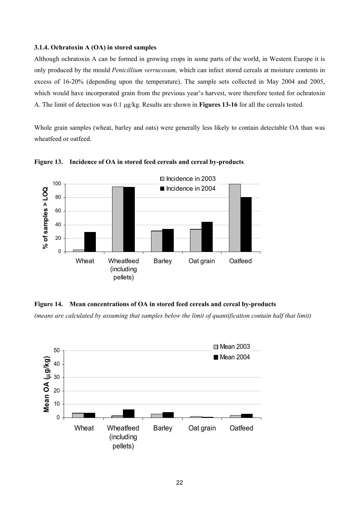#### **3.1.4. Ochratoxin A (OA) in stored samples**

Although ochratoxin A can be formed in growing crops in some parts of the world, in Western Europe it is only produced by the mould *Penicillium verrucosum,* which can infect stored cereals at moisture contents in excess of 16-20% (depending upon the temperature). The sample sets collected in May 2004 and 2005, which would have incorporated grain from the previous year's harvest, were therefore tested for ochratoxin A. The limit of detection was 0.1 µg/kg. Results are shown in **Figures 13-16** for all the cereals tested.

Whole grain samples (wheat, barley and oats) were generally less likely to contain detectable OA than was wheatfeed or oatfeed.

![](_page_24_Figure_3.jpeg)

**Figure 13. Incidence of OA in stored feed cereals and cereal by-products** 

**Figure 14. Mean concentrations of OA in stored feed cereals and cereal by-products** 

*(means are calculated by assuming that samples below the limit of quantification contain half that limit)* 

![](_page_24_Figure_7.jpeg)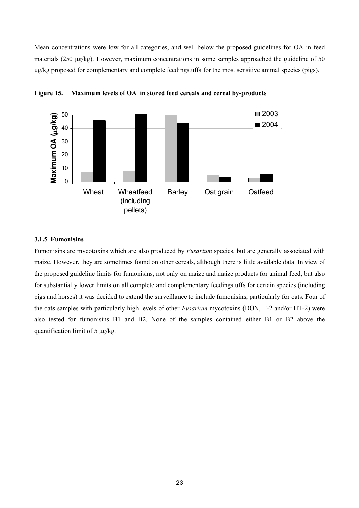Mean concentrations were low for all categories, and well below the proposed guidelines for OA in feed materials (250 µg/kg). However, maximum concentrations in some samples approached the guideline of 50 µg/kg proposed for complementary and complete feedingstuffs for the most sensitive animal species (pigs).

![](_page_25_Figure_1.jpeg)

**Figure 15. Maximum levels of OA in stored feed cereals and cereal by-products** 

#### **3.1.5 Fumonisins**

Fumonisins are mycotoxins which are also produced by *Fusarium* species, but are generally associated with maize. However, they are sometimes found on other cereals, although there is little available data. In view of the proposed guideline limits for fumonisins, not only on maize and maize products for animal feed, but also for substantially lower limits on all complete and complementary feedingstuffs for certain species (including pigs and horses) it was decided to extend the surveillance to include fumonisins, particularly for oats. Four of the oats samples with particularly high levels of other *Fusarium* mycotoxins (DON, T-2 and/or HT-2) were also tested for fumonisins B1 and B2. None of the samples contained either B1 or B2 above the quantification limit of 5 µg/kg.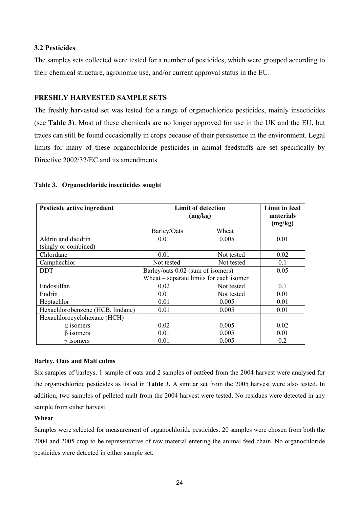# **3.2 Pesticides**

The samples sets collected were tested for a number of pesticides, which were grouped according to their chemical structure, agronomic use, and/or current approval status in the EU.

# **FRESHLY HARVESTED SAMPLE SETS**

The freshly harvested set was tested for a range of organochloride pesticides, mainly insecticides (see **Table 3**). Most of these chemicals are no longer approved for use in the UK and the EU, but traces can still be found occasionally in crops because of their persistence in the environment. Legal limits for many of these organochloride pesticides in animal feedstuffs are set specifically by Directive 2002/32/EC and its amendments.

# **Table 3. Organochloride insecticides sought**

| Pesticide active ingredient      | <b>Limit of detection</b><br>(mg/kg)    |                                   |      |  | <b>Limit in feed</b><br>materials<br>(mg/kg) |
|----------------------------------|-----------------------------------------|-----------------------------------|------|--|----------------------------------------------|
|                                  | Barley/Oats                             | Wheat                             |      |  |                                              |
| Aldrin and dieldrin              | 0.01                                    | 0.005                             | 0.01 |  |                                              |
| (singly or combined)             |                                         |                                   |      |  |                                              |
| Chlordane                        | 0.01                                    | Not tested                        | 0.02 |  |                                              |
| Camphechlor                      | Not tested                              | Not tested                        | 0.1  |  |                                              |
| <b>DDT</b>                       |                                         | Barley/oats 0.02 (sum of isomers) |      |  |                                              |
|                                  | Wheat – separate limits for each isomer |                                   |      |  |                                              |
| Endosulfan                       | 0.02                                    | Not tested                        | 0.1  |  |                                              |
| Endrin                           | 0.01                                    | Not tested                        | 0.01 |  |                                              |
| Heptachlor                       | 0.01                                    | 0.005                             | 0.01 |  |                                              |
| Hexachlorobenzene (HCB, lindane) | 0.01                                    | 0.005                             | 0.01 |  |                                              |
| Hexachlorocyclohexane (HCH)      |                                         |                                   |      |  |                                              |
| $\alpha$ isomers                 | 0.02                                    | 0.005                             | 0.02 |  |                                              |
| $\beta$ isomers                  | 0.01                                    | 0.005                             | 0.01 |  |                                              |
| $\gamma$ isomers                 | 0.01                                    | 0.005                             | 0.2  |  |                                              |

# **Barley, Oats and Malt culms**

Six samples of barleys, 1 sample of oats and 2 samples of oatfeed from the 2004 harvest were analysed for the organochloride pesticides as listed in **Table 3.** A similar set from the 2005 harvest were also tested. In addition, two samples of pelleted malt from the 2004 harvest were tested. No residues were detected in any sample from either harvest.

#### **Wheat**

Samples were selected for measurement of organochloride pesticides. 20 samples were chosen from both the 2004 and 2005 crop to be representative of raw material entering the animal feed chain. No organochloride pesticides were detected in either sample set.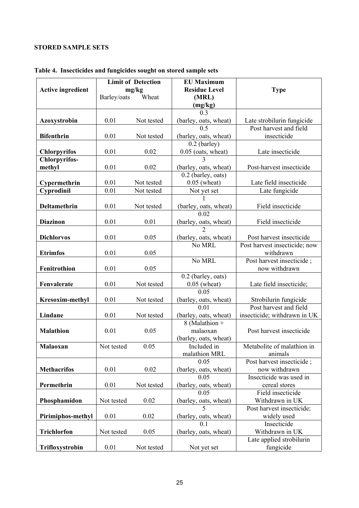# **STORED SAMPLE SETS**

|                          | <b>Limit of Detection</b> |            | <b>EU Maximum</b>                    |                               |
|--------------------------|---------------------------|------------|--------------------------------------|-------------------------------|
| <b>Active ingredient</b> |                           | mg/kg      | <b>Residue Level</b>                 | <b>Type</b>                   |
|                          | Barley/oats               | Wheat      | (MRL)                                |                               |
|                          |                           |            | (mg/kg)                              |                               |
|                          |                           |            | 0.3                                  |                               |
| Azoxystrobin             | 0.01                      | Not tested | (barley, oats, wheat)                | Late strobilurin fungicide    |
|                          |                           |            | 0.5                                  | Post harvest and field        |
| <b>Bifenthrin</b>        | 0.01                      | Not tested | (barley, oats, wheat)                | insecticide                   |
|                          |                           |            | $0.2$ (barley)                       |                               |
| <b>Chlorpyrifos</b>      | 0.01                      | 0.02       | $0.05$ (oats, wheat)                 | Late insecticide              |
| <b>Chlorpyrifos-</b>     |                           |            | $\overline{\mathcal{E}}$             |                               |
| methyl                   | 0.01                      | 0.02       | (barley, oats, wheat)                | Post-harvest insecticide      |
|                          |                           |            | 0.2 (barley, oats)                   |                               |
| Cypermethrin             | 0.01                      | Not tested | $0.05$ (wheat)                       | Late field insecticide        |
| Cyprodinil               | 0.01                      | Not tested | Not yet set                          | Late fungicide                |
|                          |                           |            |                                      |                               |
| <b>Deltamethrin</b>      | 0.01                      | Not tested | (barley, oats, wheat)                | Field insecticide             |
|                          |                           |            | 0.02                                 |                               |
| <b>Diazinon</b>          | 0.01                      | 0.01       | (barley, oats, wheat)                | Field insecticide             |
|                          |                           |            |                                      |                               |
| <b>Dichlorvos</b>        | 0.01                      | 0.05       | (barley, oats, wheat)                | Post harvest insecticide      |
|                          |                           |            | No MRL                               | Post harvest insecticide; now |
| <b>Etrimfos</b>          | 0.01                      | 0.05       |                                      | withdrawn                     |
|                          |                           |            | No MRL                               | Post harvest insecticide;     |
| Fenitrothion             | 0.01                      | 0.05       |                                      | now withdrawn                 |
| Fenvalerate              | 0.01                      | Not tested | 0.2 (barley, oats)<br>$0.05$ (wheat) | Late field insecticide;       |
|                          |                           |            | 0.05                                 |                               |
| <b>Kresoxim-methyl</b>   | 0.01                      | Not tested | (barley, oats, wheat)                | Strobilurin fungicide         |
|                          |                           |            | 0.01                                 | Post harvest and field        |
| Lindane                  | 0.01                      | Not tested | (barley, oats, wheat)                | insecticide; withdrawn in UK  |
|                          |                           |            | 8 (Malathion +                       |                               |
| <b>Malathion</b>         | 0.01                      | 0.05       | malaoxan                             | Post harvest insecticide      |
|                          |                           |            | (barley, oats, wheat)                |                               |
| Malaoxan                 | Not tested                | 0.05       | Included in                          | Metabolite of malathion in    |
|                          |                           |            | malathion MRL                        | animals                       |
|                          |                           |            | 0.05                                 | Post harvest insecticide ;    |
| <b>Methacrifos</b>       | 0.01                      | 0.02       | (barley, oats, wheat)                | now withdrawn                 |
|                          |                           |            | 0.05                                 | Insecticide was used in       |
| Permethrin               | 0.01                      | Not tested | (barley, oats, wheat)                | cereal stores                 |
|                          |                           |            | 0.05                                 | Field insecticide             |
| Phosphamidon             | Not tested                | 0.02       | (barley, oats, wheat)                | Withdrawn in UK               |
|                          |                           |            | 5                                    | Post harvest insecticide;     |
| Pirimiphos-methyl        | 0.01                      | 0.02       | (barley, oats, wheat)                | widely used                   |
|                          |                           |            | 0 <sub>1</sub>                       | Insecticide                   |
| <b>Trichlorfon</b>       | Not tested                | 0.05       | (barley, oats, wheat)                | Withdrawn in UK               |
|                          |                           |            |                                      | Late applied strobilurin      |
| Trifloxystrobin          | 0.01                      | Not tested | Not yet set                          | fungicide                     |

# **Table 4. Insecticides and fungicides sought on stored sample sets**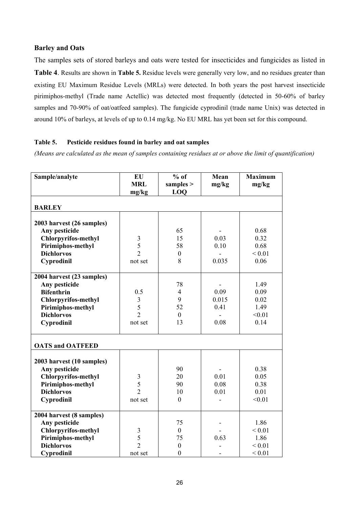# **Barley and Oats**

The samples sets of stored barleys and oats were tested for insecticides and fungicides as listed in **Table 4**. Results are shown in **Table 5.** Residue levels were generally very low, and no residues greater than existing EU Maximum Residue Levels (MRLs) were detected. In both years the post harvest insecticide pirimiphos-methyl (Trade name Actellic) was detected most frequently (detected in 50-60% of barley samples and 70-90% of oat/oatfeed samples). The fungicide cyprodinil (trade name Unix) was detected in around 10% of barleys, at levels of up to 0.14 mg/kg. No EU MRL has yet been set for this compound.

# **Table 5. Pesticide residues found in barley and oat samples**

*(Means are calculated as the mean of samples containing residues at or above the limit of quantification)* 

| Sample/analyte                     | <b>EU</b><br><b>MRL</b> | $%$ of<br>samples $>$ | Mean<br>mg/kg | <b>Maximum</b><br>mg/kg |
|------------------------------------|-------------------------|-----------------------|---------------|-------------------------|
|                                    | mg/kg                   | LOO                   |               |                         |
| <b>BARLEY</b>                      |                         |                       |               |                         |
| 2003 harvest (26 samples)          |                         |                       |               |                         |
| Any pesticide                      |                         | 65                    |               | 0.68                    |
| <b>Chlorpyrifos-methyl</b>         |                         | 15                    | 0.03          | 0.32                    |
| Pirimiphos-methyl                  | $rac{3}{5}$             | 58                    | 0.10          | 0.68                    |
| <b>Dichlorvos</b>                  | $\overline{2}$          | $\boldsymbol{0}$      |               | ${}_{0.01}$             |
| Cyprodinil                         | not set                 | 8                     | 0.035         | 0.06                    |
|                                    |                         |                       |               |                         |
| 2004 harvest (23 samples)          |                         |                       |               |                         |
| Any pesticide<br><b>Bifenthrin</b> | 0.5                     | 78<br>$\overline{4}$  | 0.09          | 1.49<br>0.09            |
| <b>Chlorpyrifos-methyl</b>         | $\mathfrak{Z}$          | 9                     | 0.015         | 0.02                    |
| Pirimiphos-methyl                  | 5                       | 52                    | 0.41          | 1.49                    |
| <b>Dichlorvos</b>                  | $\overline{2}$          | $\mathbf{0}$          |               | < 0.01                  |
| Cyprodinil                         | not set                 | 13                    | 0.08          | 0.14                    |
|                                    |                         |                       |               |                         |
| <b>OATS and OATFEED</b>            |                         |                       |               |                         |
|                                    |                         |                       |               |                         |
| 2003 harvest (10 samples)          |                         |                       |               |                         |
| Any pesticide                      |                         | 90                    |               | 0.38                    |
| <b>Chlorpyrifos-methyl</b>         | $\mathfrak{Z}$          | 20                    | 0.01          | 0.05                    |
| Pirimiphos-methyl                  | 5                       | 90                    | 0.08          | 0.38                    |
| <b>Dichlorvos</b>                  | $\overline{2}$          | 10                    | 0.01          | 0.01                    |
| Cyprodinil                         | not set                 | $\mathbf{0}$          |               | < 0.01                  |
| 2004 harvest (8 samples)           |                         |                       |               |                         |
| Any pesticide                      |                         | 75                    |               | 1.86                    |
| <b>Chlorpyrifos-methyl</b>         | $\mathfrak{Z}$          | $\boldsymbol{0}$      |               | ${}_{0.01}$             |
| Pirimiphos-methyl                  | 5                       | 75                    | 0.63          | 1.86                    |
| <b>Dichlorvos</b>                  | $\overline{2}$          | $\boldsymbol{0}$      |               | ${}_{0.01}$             |
| Cyprodinil                         | not set                 | $\boldsymbol{0}$      |               | ${}_{0.01}$             |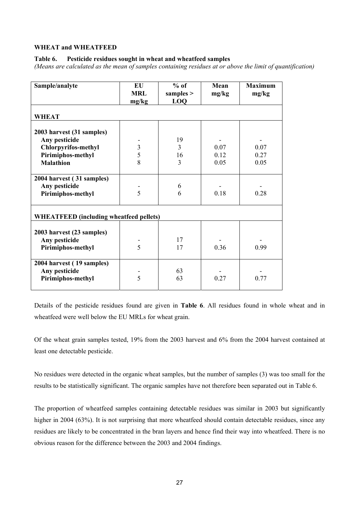## **WHEAT and WHEATFEED**

## **Table 6. Pesticide residues sought in wheat and wheatfeed samples**

*(Means are calculated as the mean of samples containing residues at or above the limit of quantification)* 

| Sample/analyte                                 | EU<br><b>MRL</b><br>mg/kg | $%$ of<br>samples $>$<br><b>LOO</b> | Mean<br>mg/kg | <b>Maximum</b><br>mg/kg |
|------------------------------------------------|---------------------------|-------------------------------------|---------------|-------------------------|
| <b>WHEAT</b>                                   |                           |                                     |               |                         |
| 2003 harvest (31 samples)                      |                           |                                     |               |                         |
| Any pesticide                                  |                           | 19                                  |               |                         |
| <b>Chlorpyrifos-methyl</b>                     | $rac{3}{5}$               | 3                                   | 0.07          | 0.07                    |
| Pirimiphos-methyl                              |                           | 16                                  | 0.12          | 0.27                    |
| <b>Malathion</b>                               | 8                         | 3                                   | 0.05          | 0.05                    |
| 2004 harvest (31 samples)                      |                           |                                     |               |                         |
| Any pesticide                                  |                           | 6                                   |               |                         |
| Pirimiphos-methyl                              | 5                         | 6                                   | 0.18          | 0.28                    |
| <b>WHEATFEED</b> (including wheatfeed pellets) |                           |                                     |               |                         |
| 2003 harvest (23 samples)<br>Any pesticide     |                           | 17                                  |               |                         |
| Pirimiphos-methyl                              | $\overline{5}$            | 17                                  | 0.36          | 0.99                    |
| 2004 harvest (19 samples)                      |                           |                                     |               |                         |
| Any pesticide                                  |                           | 63                                  |               |                         |
| Pirimiphos-methyl                              | 5                         | 63                                  | 0.27          | 0.77                    |
|                                                |                           |                                     |               |                         |

Details of the pesticide residues found are given in **Table 6**. All residues found in whole wheat and in wheatfeed were well below the EU MRLs for wheat grain.

Of the wheat grain samples tested, 19% from the 2003 harvest and 6% from the 2004 harvest contained at least one detectable pesticide.

No residues were detected in the organic wheat samples, but the number of samples (3) was too small for the results to be statistically significant. The organic samples have not therefore been separated out in Table 6.

The proportion of wheatfeed samples containing detectable residues was similar in 2003 but significantly higher in 2004 (63%). It is not surprising that more wheatfeed should contain detectable residues, since any residues are likely to be concentrated in the bran layers and hence find their way into wheatfeed. There is no obvious reason for the difference between the 2003 and 2004 findings.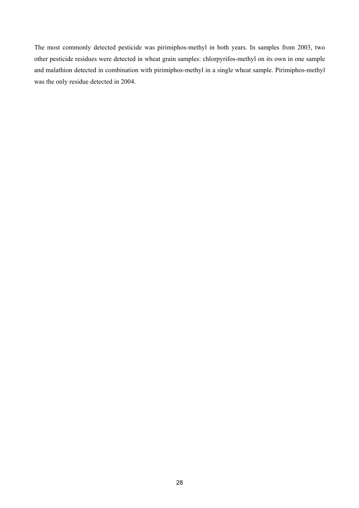The most commonly detected pesticide was pirimiphos-methyl in both years. In samples from 2003, two other pesticide residues were detected in wheat grain samples: chlorpyrifos-methyl on its own in one sample and malathion detected in combination with pirimiphos-methyl in a single wheat sample. Pirimiphos-methyl was the only residue detected in 2004.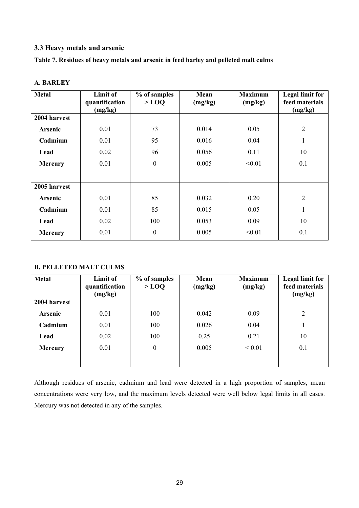# **3.3 Heavy metals and arsenic**

**Table 7. Residues of heavy metals and arsenic in feed barley and pelleted malt culms** 

| <b>Metal</b>   | Limit of<br>quantification<br>(mg/kg) | % of samples<br>$>$ LOQ | Mean<br>(mg/kg) | <b>Maximum</b><br>(mg/kg) | <b>Legal limit for</b><br>feed materials<br>(mg/kg) |
|----------------|---------------------------------------|-------------------------|-----------------|---------------------------|-----------------------------------------------------|
| 2004 harvest   |                                       |                         |                 |                           |                                                     |
| Arsenic        | 0.01                                  | 73                      | 0.014           | 0.05                      | $\overline{2}$                                      |
| Cadmium        | 0.01                                  | 95                      | 0.016           | 0.04                      | $\mathbf{1}$                                        |
| Lead           | 0.02                                  | 96                      | 0.056           | 0.11                      | 10                                                  |
| <b>Mercury</b> | 0.01                                  | $\boldsymbol{0}$        | 0.005           | < 0.01                    | 0.1                                                 |
|                |                                       |                         |                 |                           |                                                     |
| 2005 harvest   |                                       |                         |                 |                           |                                                     |
| Arsenic        | 0.01                                  | 85                      | 0.032           | 0.20                      | $\overline{2}$                                      |
| Cadmium        | 0.01                                  | 85                      | 0.015           | 0.05                      | $\mathbf{1}$                                        |
| Lead           | 0.02                                  | 100                     | 0.053           | 0.09                      | 10                                                  |
| <b>Mercury</b> | 0.01                                  | $\boldsymbol{0}$        | 0.005           | < 0.01                    | 0.1                                                 |

# **A. BARLEY**

# **B. PELLETED MALT CULMS**

| <b>Metal</b>   | Limit of<br>quantification<br>(mg/kg) | % of samples<br>$>$ LOQ | Mean<br>(mg/kg) | <b>Maximum</b><br>(mg/kg) | Legal limit for<br>feed materials<br>(mg/kg) |
|----------------|---------------------------------------|-------------------------|-----------------|---------------------------|----------------------------------------------|
| 2004 harvest   |                                       |                         |                 |                           |                                              |
| Arsenic        | 0.01                                  | 100                     | 0.042           | 0.09                      | $\overline{2}$                               |
| Cadmium        | 0.01                                  | 100                     | 0.026           | 0.04                      |                                              |
| Lead           | 0.02                                  | 100                     | 0.25            | 0.21                      | 10                                           |
| <b>Mercury</b> | 0.01                                  | $\boldsymbol{0}$        | 0.005           | ${}_{0.01}$               | 0.1                                          |
|                |                                       |                         |                 |                           |                                              |

Although residues of arsenic, cadmium and lead were detected in a high proportion of samples, mean concentrations were very low, and the maximum levels detected were well below legal limits in all cases. Mercury was not detected in any of the samples.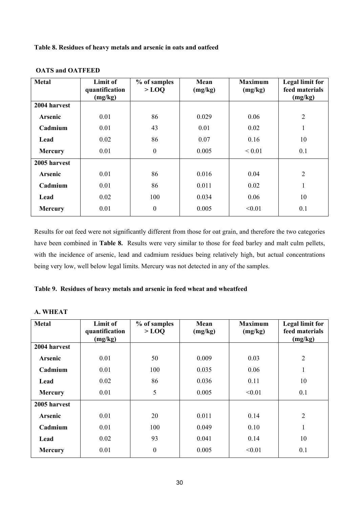**Table 8. Residues of heavy metals and arsenic in oats and oatfeed** 

| <b>Metal</b>   | Limit of<br>quantification<br>(mg/kg) | % of samples<br>$>$ LOQ | Mean<br>(mg/kg) | <b>Maximum</b><br>(mg/kg) | Legal limit for<br>feed materials<br>(mg/kg) |
|----------------|---------------------------------------|-------------------------|-----------------|---------------------------|----------------------------------------------|
| 2004 harvest   |                                       |                         |                 |                           |                                              |
| Arsenic        | 0.01                                  | 86                      | 0.029           | 0.06                      | $\overline{2}$                               |
| Cadmium        | 0.01                                  | 43                      | 0.01            | 0.02                      | $\mathbf{1}$                                 |
| Lead           | 0.02                                  | 86                      | 0.07            | 0.16                      | 10                                           |
| <b>Mercury</b> | 0.01                                  | $\boldsymbol{0}$        | 0.005           | ${}_{0.01}$               | 0.1                                          |
| 2005 harvest   |                                       |                         |                 |                           |                                              |
| <b>Arsenic</b> | 0.01                                  | 86                      | 0.016           | 0.04                      | $\overline{2}$                               |
| Cadmium        | 0.01                                  | 86                      | 0.011           | 0.02                      | $\mathbf{1}$                                 |
| Lead           | 0.02                                  | 100                     | 0.034           | 0.06                      | 10                                           |
| <b>Mercury</b> | 0.01                                  | $\boldsymbol{0}$        | 0.005           | < 0.01                    | 0.1                                          |

#### **OATS and OATFEED**

Results for oat feed were not significantly different from those for oat grain, and therefore the two categories have been combined in **Table 8.** Results were very similar to those for feed barley and malt culm pellets, with the incidence of arsenic, lead and cadmium residues being relatively high, but actual concentrations being very low, well below legal limits. Mercury was not detected in any of the samples.

# **Table 9. Residues of heavy metals and arsenic in feed wheat and wheatfeed**

| <b>Metal</b>    | Limit of<br>quantification<br>(mg/kg) | % of samples<br>$>$ LOQ | Mean<br>(mg/kg) | <b>Maximum</b><br>(mg/kg) | Legal limit for<br>feed materials<br>(mg/kg) |
|-----------------|---------------------------------------|-------------------------|-----------------|---------------------------|----------------------------------------------|
| 2004 harvest    |                                       |                         |                 |                           |                                              |
| 0.01<br>Arsenic |                                       | 50                      | 0.009           | 0.03                      | $\overline{2}$                               |
| Cadmium<br>0.01 |                                       | 100<br>0.035            |                 | 0.06                      | 1                                            |
| 0.02<br>Lead    |                                       | 86                      | 0.11<br>0.036   |                           | 10                                           |
| <b>Mercury</b>  | 0.01                                  |                         | 0.005           | < 0.01                    | 0.1                                          |
| 2005 harvest    |                                       |                         |                 |                           |                                              |
| Arsenic         | 0.01                                  | 20                      | 0.011           | 0.14                      | $\overline{2}$                               |
| Cadmium<br>0.01 |                                       | 100                     | 0.049           | 0.10                      | 1                                            |
| Lead            | 0.02                                  | 93                      | 0.041           | 0.14                      | 10                                           |
| <b>Mercury</b>  | 0.01                                  | $\boldsymbol{0}$        | 0.005           | < 0.01                    | 0.1                                          |

## **A. WHEAT**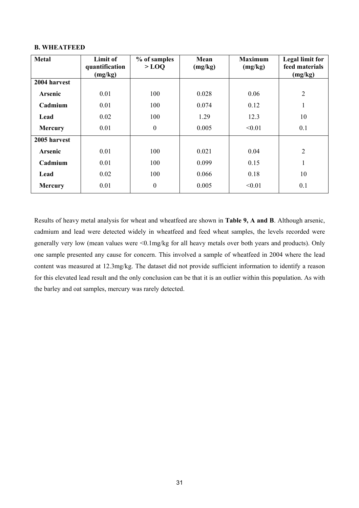#### **B. WHEATFEED**

| <b>Metal</b>           | Limit of<br>quantification<br>(mg/kg) | % of samples<br>$>$ LOQ | Mean<br>(mg/kg) | <b>Maximum</b><br>(mg/kg) | <b>Legal limit for</b><br>feed materials<br>(mg/kg) |
|------------------------|---------------------------------------|-------------------------|-----------------|---------------------------|-----------------------------------------------------|
| 2004 harvest           |                                       |                         |                 |                           |                                                     |
| Arsenic                | 0.01                                  | 100                     | 0.028           | 0.06                      | $\overline{2}$                                      |
| Cadmium<br>0.01        |                                       | 100                     | 0.074           | 0.12                      | 1                                                   |
| 0.02<br>Lead           |                                       | 100                     | 1.29            | 12.3                      | 10                                                  |
| <b>Mercury</b>         | 0.01                                  |                         | 0.005           | < 0.01                    | 0.1                                                 |
| 2005 harvest           |                                       |                         |                 |                           |                                                     |
| <b>Arsenic</b>         | 0.01                                  | 100                     | 0.021           | 0.04                      | $\overline{2}$                                      |
| Cadmium<br>0.01        |                                       | 100                     | 0.099           | 0.15                      | $\mathbf{1}$                                        |
| 0.02<br>Lead           |                                       | 100                     | 0.066           | 0.18                      | 10                                                  |
| 0.01<br><b>Mercury</b> |                                       | $\boldsymbol{0}$        | 0.005           | < 0.01                    | 0.1                                                 |

Results of heavy metal analysis for wheat and wheatfeed are shown in **Table 9, A and B**. Although arsenic, cadmium and lead were detected widely in wheatfeed and feed wheat samples, the levels recorded were generally very low (mean values were <0.1mg/kg for all heavy metals over both years and products). Only one sample presented any cause for concern. This involved a sample of wheatfeed in 2004 where the lead content was measured at 12.3mg/kg. The dataset did not provide sufficient information to identify a reason for this elevated lead result and the only conclusion can be that it is an outlier within this population. As with the barley and oat samples, mercury was rarely detected.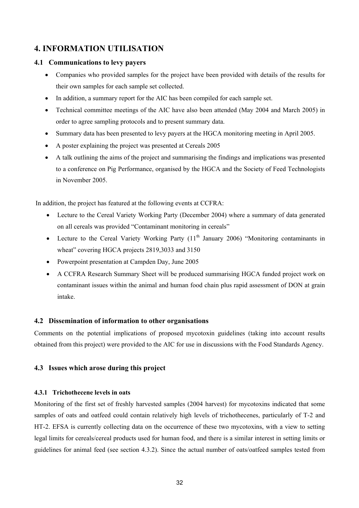# **4. INFORMATION UTILISATION**

# **4.1 Communications to levy payers**

- Companies who provided samples for the project have been provided with details of the results for their own samples for each sample set collected.
- In addition, a summary report for the AIC has been compiled for each sample set.
- Technical committee meetings of the AIC have also been attended (May 2004 and March 2005) in order to agree sampling protocols and to present summary data.
- Summary data has been presented to levy payers at the HGCA monitoring meeting in April 2005.
- A poster explaining the project was presented at Cereals 2005
- A talk outlining the aims of the project and summarising the findings and implications was presented to a conference on Pig Performance, organised by the HGCA and the Society of Feed Technologists in November 2005.

In addition, the project has featured at the following events at CCFRA:

- Lecture to the Cereal Variety Working Party (December 2004) where a summary of data generated on all cereals was provided "Contaminant monitoring in cereals"
- Lecture to the Cereal Variety Working Party  $(11<sup>th</sup>$  January 2006) "Monitoring contaminants in wheat" covering HGCA projects 2819,3033 and 3150
- Powerpoint presentation at Campden Day, June 2005
- A CCFRA Research Summary Sheet will be produced summarising HGCA funded project work on contaminant issues within the animal and human food chain plus rapid assessment of DON at grain intake.

# **4.2 Dissemination of information to other organisations**

Comments on the potential implications of proposed mycotoxin guidelines (taking into account results obtained from this project) were provided to the AIC for use in discussions with the Food Standards Agency.

# **4.3 Issues which arose during this project**

# **4.3.1 Trichothecene levels in oats**

Monitoring of the first set of freshly harvested samples (2004 harvest) for mycotoxins indicated that some samples of oats and oatfeed could contain relatively high levels of trichothecenes, particularly of T-2 and HT-2. EFSA is currently collecting data on the occurrence of these two mycotoxins, with a view to setting legal limits for cereals/cereal products used for human food, and there is a similar interest in setting limits or guidelines for animal feed (see section 4.3.2). Since the actual number of oats/oatfeed samples tested from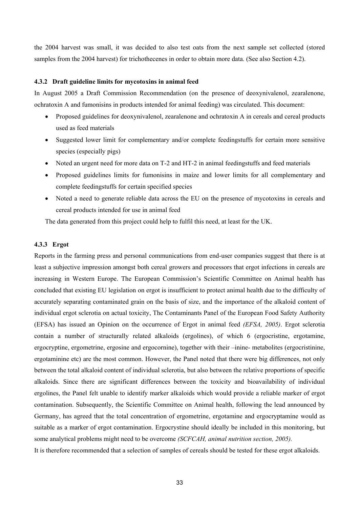the 2004 harvest was small, it was decided to also test oats from the next sample set collected (stored samples from the 2004 harvest) for trichothecenes in order to obtain more data. (See also Section 4.2).

#### **4.3.2 Draft guideline limits for mycotoxins in animal feed**

In August 2005 a Draft Commission Recommendation (on the presence of deoxynivalenol, zearalenone, ochratoxin A and fumonisins in products intended for animal feeding) was circulated. This document:

- Proposed guidelines for deoxynivalenol, zearalenone and ochratoxin A in cereals and cereal products used as feed materials
- Suggested lower limit for complementary and/or complete feedingstuffs for certain more sensitive species (especially pigs)
- Noted an urgent need for more data on T-2 and HT-2 in animal feedingstuffs and feed materials
- Proposed guidelines limits for fumonisins in maize and lower limits for all complementary and complete feedingstuffs for certain specified species
- Noted a need to generate reliable data across the EU on the presence of mycotoxins in cereals and cereal products intended for use in animal feed

The data generated from this project could help to fulfil this need, at least for the UK.

#### **4.3.3 Ergot**

Reports in the farming press and personal communications from end-user companies suggest that there is at least a subjective impression amongst both cereal growers and processors that ergot infections in cereals are increasing in Western Europe. The European Commission's Scientific Committee on Animal health has concluded that existing EU legislation on ergot is insufficient to protect animal health due to the difficulty of accurately separating contaminated grain on the basis of size, and the importance of the alkaloid content of individual ergot sclerotia on actual toxicity, The Contaminants Panel of the European Food Safety Authority (EFSA) has issued an Opinion on the occurrence of Ergot in animal feed *(EFSA, 2005)*. Ergot sclerotia contain a number of structurally related alkaloids (ergolines), of which 6 (ergocristine, ergotamine, ergocryptine, ergometrine, ergosine and ergocornine), together with their –inine- metabolites (ergocristinine, ergotaminine etc) are the most common. However, the Panel noted that there were big differences, not only between the total alkaloid content of individual sclerotia, but also between the relative proportions of specific alkaloids. Since there are significant differences between the toxicity and bioavailability of individual ergolines, the Panel felt unable to identify marker alkaloids which would provide a reliable marker of ergot contamination. Subsequently, the Scientific Committee on Animal health, following the lead announced by Germany, has agreed that the total concentration of ergometrine, ergotamine and ergocryptamine would as suitable as a marker of ergot contamination. Ergocrystine should ideally be included in this monitoring, but some analytical problems might need to be overcome *(SCFCAH, animal nutrition section, 2005).* 

It is therefore recommended that a selection of samples of cereals should be tested for these ergot alkaloids.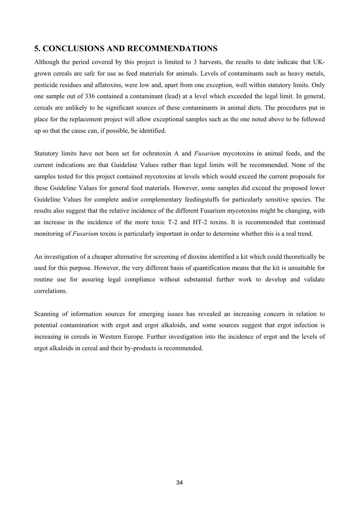# **5. CONCLUSIONS AND RECOMMENDATIONS**

Although the period covered by this project is limited to 3 harvests, the results to date indicate that UKgrown cereals are safe for use as feed materials for animals. Levels of contaminants such as heavy metals, pesticide residues and aflatoxins, were low and, apart from one exception, well within statutory limits. Only one sample out of 336 contained a contaminant (lead) at a level which exceeded the legal limit. In general, cereals are unlikely to be significant sources of these contaminants in animal diets. The procedures put in place for the replacement project will allow exceptional samples such as the one noted above to be followed up so that the cause can, if possible, be identified.

Statutory limits have not been set for ochratoxin A and *Fusarium* mycotoxins in animal feeds, and the current indications are that Guideline Values rather than legal limits will be recommended. None of the samples tested for this project contained mycotoxins at levels which would exceed the current proposals for these Guideline Values for general feed materials. However, some samples did exceed the proposed lower Guideline Values for complete and/or complementary feedingstuffs for particularly sensitive species. The results also suggest that the relative incidence of the different Fusarium mycotoxins might be changing, with an increase in the incidence of the more toxic T-2 and HT-2 toxins. It is recommended that continued monitoring of *Fusarium* toxins is particularly important in order to determine whether this is a real trend.

An investigation of a cheaper alternative for screening of dioxins identified a kit which could theoretically be used for this purpose. However, the very different basis of quantification means that the kit is unsuitable for routine use for assuring legal compliance without substantial further work to develop and validate correlations.

Scanning of information sources for emerging issues has revealed an increasing concern in relation to potential contamination with ergot and ergot alkaloids, and some sources suggest that ergot infection is increasing in cereals in Western Europe. Further investigation into the incidence of ergot and the levels of ergot alkaloids in cereal and their by-products is recommended.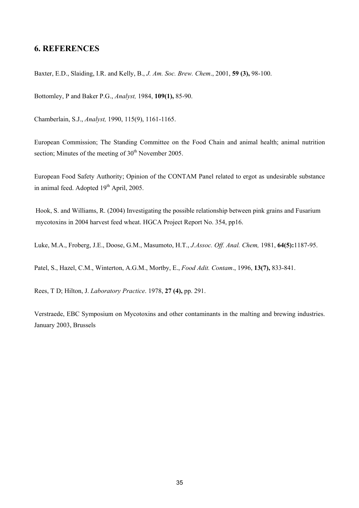# **6. REFERENCES**

Baxter, E.D., Slaiding, I.R. and Kelly, B., *J. Am. Soc. Brew. Chem*., 2001, **59 (3),** 98-100.

Bottomley, P and Baker P.G., *Analyst,* 1984, **109(1),** 85-90.

Chamberlain, S.J., *Analyst,* 1990, 115(9), 1161-1165.

European Commission; The Standing Committee on the Food Chain and animal health; animal nutrition section; Minutes of the meeting of  $30<sup>th</sup>$  November 2005.

European Food Safety Authority; Opinion of the CONTAM Panel related to ergot as undesirable substance in animal feed. Adopted 19<sup>th</sup> April, 2005.

Hook, S. and Williams, R. (2004) Investigating the possible relationship between pink grains and Fusarium mycotoxins in 2004 harvest feed wheat. HGCA Project Report No. 354, pp16.

Luke, M.A., Froberg, J.E., Doose, G.M., Masumoto, H.T., *J.Assoc. Off. Anal. Chem,* 1981, **64(5):**1187-95.

Patel, S., Hazel, C.M., Winterton, A.G.M., Mortby, E., *Food Adit. Contam*., 1996, **13(7),** 833-841.

Rees, T D; Hilton, J. *Laboratory Practice*. 1978, **27 (4),** pp. 291.

Verstraede, EBC Symposium on Mycotoxins and other contaminants in the malting and brewing industries. January 2003, Brussels